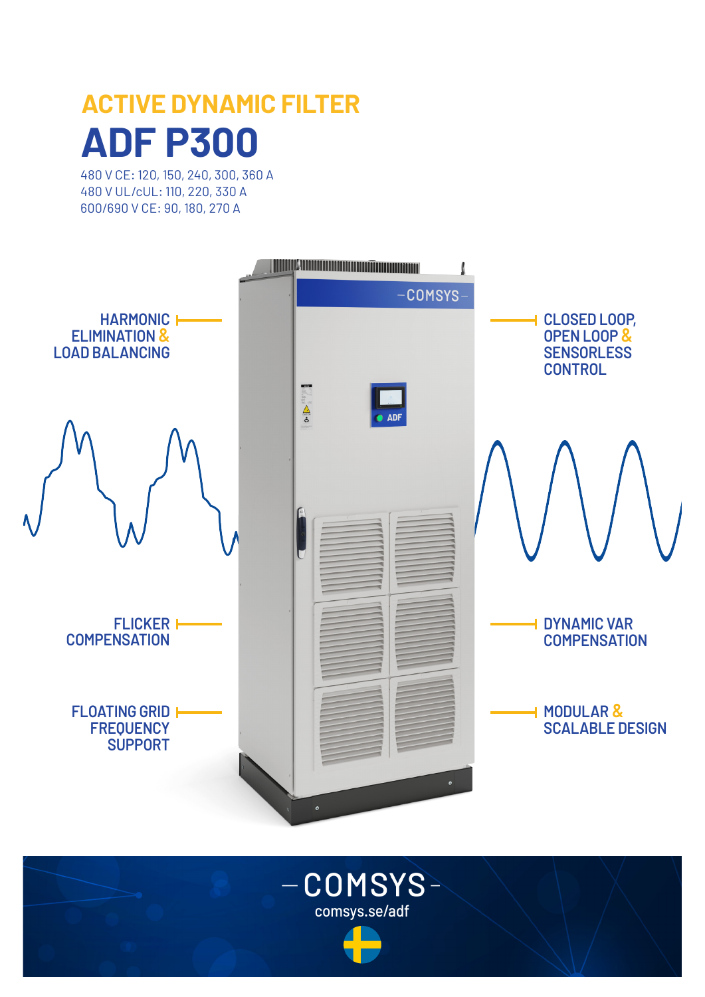# **ACTIVE DYNAMIC FILTER ADF P300**

480 V CE: 120, 150, 240, 300, 360 A 480 V UL/cUL: 110, 220, 330 A 600/690 V CE: 90, 180, 270 A



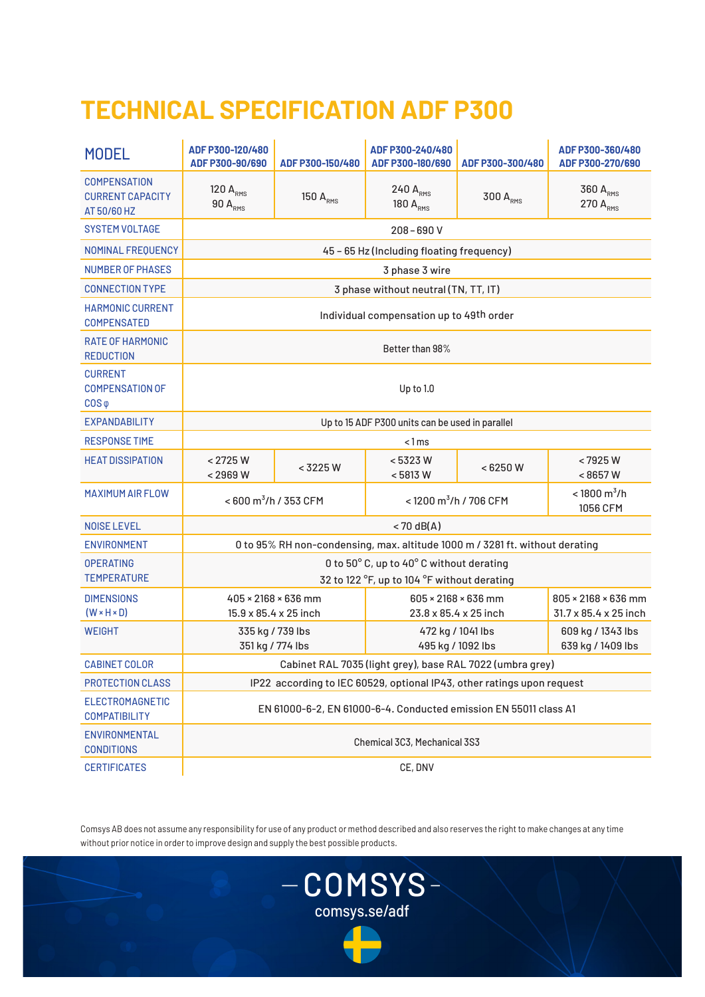# **TECHNICAL SPECIFICATION ADF P300**

| <b>MODEL</b>                                                  | ADF P300-120/480<br>ADF P300-90/690                                                     | ADF P300-150/480     | ADF P300-240/480<br>ADF P300-180/690         | ADF P300-300/480 | ADF P300-360/480<br>ADF P300-270/690         |  |
|---------------------------------------------------------------|-----------------------------------------------------------------------------------------|----------------------|----------------------------------------------|------------------|----------------------------------------------|--|
| <b>COMPENSATION</b><br><b>CURRENT CAPACITY</b><br>AT 50/60 HZ | 120 $A_{RMS}$<br>$90 A_{RMS}$                                                           | 150 A <sub>RMS</sub> | 240 ARMS<br>180 A <sub>RMS</sub>             | 300 ARMS         | 360 ARMS<br>270 A <sub>RMS</sub>             |  |
| <b>SYSTEM VOLTAGE</b>                                         | $208 - 690V$                                                                            |                      |                                              |                  |                                              |  |
| NOMINAL FREQUENCY                                             | 45 - 65 Hz (Including floating frequency)                                               |                      |                                              |                  |                                              |  |
| <b>NUMBER OF PHASES</b>                                       | 3 phase 3 wire                                                                          |                      |                                              |                  |                                              |  |
| <b>CONNECTION TYPE</b>                                        | 3 phase without neutral (TN, TT, IT)                                                    |                      |                                              |                  |                                              |  |
| <b>HARMONIC CURRENT</b><br><b>COMPENSATED</b>                 | Individual compensation up to 49th order                                                |                      |                                              |                  |                                              |  |
| <b>RATE OF HARMONIC</b><br><b>REDUCTION</b>                   | Better than 98%                                                                         |                      |                                              |                  |                                              |  |
| <b>CURRENT</b><br><b>COMPENSATION OF</b><br>$COS \varphi$     | Up to 1.0                                                                               |                      |                                              |                  |                                              |  |
| <b>EXPANDABILITY</b>                                          | Up to 15 ADF P300 units can be used in parallel                                         |                      |                                              |                  |                                              |  |
| <b>RESPONSE TIME</b>                                          | < 1 ms                                                                                  |                      |                                              |                  |                                              |  |
| <b>HEAT DISSIPATION</b>                                       | < 2725 W<br>< 2969 W                                                                    | < 3225 W             | < 5323 W<br>< 5813 W                         | < 6250 W         | <7925W<br>< 8657 W                           |  |
| <b>MAXIMUM AIR FLOW</b>                                       | <600 m <sup>3</sup> /h / 353 CFM                                                        |                      | <1200 m <sup>3</sup> /h / 706 CFM            |                  | $<$ 1800 m <sup>3</sup> /h<br>1056 CFM       |  |
| <b>NOISE LEVEL</b>                                            | $< 70$ dB(A)                                                                            |                      |                                              |                  |                                              |  |
| <b>ENVIRONMENT</b>                                            | 0 to 95% RH non-condensing, max. altitude 1000 m / 3281 ft. without derating            |                      |                                              |                  |                                              |  |
| <b>OPERATING</b><br><b>TEMPERATURE</b>                        | 0 to 50° C, up to 40° C without derating<br>32 to 122 °F, up to 104 °F without derating |                      |                                              |                  |                                              |  |
| <b>DIMENSIONS</b><br>$(W \times H \times D)$                  | $405 \times 2168 \times 636$ mm<br>15.9 x 85.4 x 25 inch                                |                      | 605 × 2168 × 636 mm<br>23.8 x 85.4 x 25 inch |                  | 805 × 2168 × 636 mm<br>31.7 x 85.4 x 25 inch |  |
| <b>WEIGHT</b>                                                 | 335 kg / 739 lbs<br>351 kg / 774 lbs                                                    |                      | 472 kg / 1041 lbs<br>495 kg / 1092 lbs       |                  | 609 kg / 1343 lbs<br>639 kg / 1409 lbs       |  |
| <b>CABINET COLOR</b>                                          | Cabinet RAL 7035 (light grey), base RAL 7022 (umbra grey)                               |                      |                                              |                  |                                              |  |
| PROTECTION CLASS                                              | IP22 according to IEC 60529, optional IP43, other ratings upon request                  |                      |                                              |                  |                                              |  |
| <b>ELECTROMAGNETIC</b><br><b>COMPATIBILITY</b>                | EN 61000-6-2, EN 61000-6-4. Conducted emission EN 55011 class A1                        |                      |                                              |                  |                                              |  |
| ENVIRONMENTAL<br><b>CONDITIONS</b>                            | Chemical 3C3, Mechanical 3S3                                                            |                      |                                              |                  |                                              |  |
| <b>CERTIFICATES</b>                                           | CE, DNV                                                                                 |                      |                                              |                  |                                              |  |

Comsys AB does not assume any responsibility for use of any product or method described and also reserves the right to make changes at any time without prior notice in order to improve design and supply the best possible products.

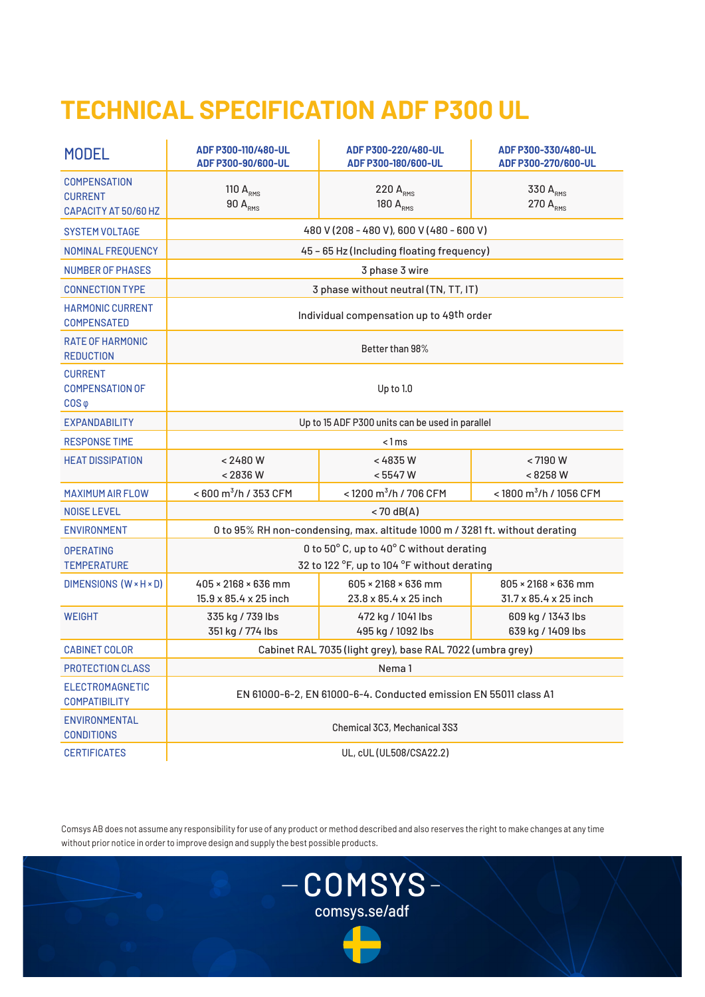## **TECHNICAL SPECIFICATION ADF P300 UL**

| <b>MODEL</b>                                                  | ADF P300-110/480-UL<br>ADF P300-90/600-UL                                               | ADF P300-220/480-UL<br>ADF P300-180/600-UL   | ADF P300-330/480-UL<br>ADF P300-270/600-UL               |  |  |  |
|---------------------------------------------------------------|-----------------------------------------------------------------------------------------|----------------------------------------------|----------------------------------------------------------|--|--|--|
| <b>COMPENSATION</b><br><b>CURRENT</b><br>CAPACITY AT 50/60 HZ | 110 $ARMS$<br>$90 A_{RMS}$                                                              | 220 A <sub>RMS</sub><br>180 A <sub>RMS</sub> | 330 A <sub>RMS</sub><br>270 A <sub>RMS</sub>             |  |  |  |
| <b>SYSTEM VOLTAGE</b>                                         | 480 V (208 - 480 V), 600 V (480 - 600 V)                                                |                                              |                                                          |  |  |  |
| NOMINAL FREQUENCY                                             | 45 - 65 Hz (Including floating frequency)                                               |                                              |                                                          |  |  |  |
| <b>NUMBER OF PHASES</b>                                       | 3 phase 3 wire                                                                          |                                              |                                                          |  |  |  |
| <b>CONNECTION TYPE</b>                                        | 3 phase without neutral (TN, TT, IT)                                                    |                                              |                                                          |  |  |  |
| <b>HARMONIC CURRENT</b><br><b>COMPENSATED</b>                 | Individual compensation up to 49th order                                                |                                              |                                                          |  |  |  |
| <b>RATE OF HARMONIC</b><br><b>REDUCTION</b>                   | Better than 98%                                                                         |                                              |                                                          |  |  |  |
| <b>CURRENT</b><br><b>COMPENSATION OF</b><br>$COS \varphi$     | Up to 1.0                                                                               |                                              |                                                          |  |  |  |
| <b>EXPANDABILITY</b>                                          | Up to 15 ADF P300 units can be used in parallel                                         |                                              |                                                          |  |  |  |
| <b>RESPONSE TIME</b>                                          | < 1 ms                                                                                  |                                              |                                                          |  |  |  |
| <b>HEAT DISSIPATION</b>                                       | < 2480 W<br>< 2836 W                                                                    | < 4835 W<br>< 5547 W                         | < 7190 W<br><8258W                                       |  |  |  |
| <b>MAXIMUM AIR FLOW</b>                                       | $< 600$ m <sup>3</sup> /h / 353 CFM                                                     | <1200 m <sup>3</sup> /h / 706 CFM            | <1800 m <sup>3</sup> /h / 1056 CFM                       |  |  |  |
| <b>NOISE LEVEL</b>                                            | $<$ 70 dB(A)                                                                            |                                              |                                                          |  |  |  |
| <b>ENVIRONMENT</b>                                            | 0 to 95% RH non-condensing, max. altitude 1000 m / 3281 ft. without derating            |                                              |                                                          |  |  |  |
| <b>OPERATING</b><br><b>TEMPERATURE</b>                        | 0 to 50° C, up to 40° C without derating<br>32 to 122 °F, up to 104 °F without derating |                                              |                                                          |  |  |  |
| DIMENSIONS (W × H × D)                                        | $405 \times 2168 \times 636$ mm<br>15.9 x 85.4 x 25 inch                                | 605 × 2168 × 636 mm<br>23.8 x 85.4 x 25 inch | $805 \times 2168 \times 636$ mm<br>31.7 x 85.4 x 25 inch |  |  |  |
| <b>WEIGHT</b>                                                 | 335 kg / 739 lbs<br>351 kg / 774 lbs                                                    | 472 kg / 1041 lbs<br>495 kg / 1092 lbs       | 609 kg / 1343 lbs<br>639 kg / 1409 lbs                   |  |  |  |
| <b>CABINET COLOR</b>                                          | Cabinet RAL 7035 (light grey), base RAL 7022 (umbra grey)                               |                                              |                                                          |  |  |  |
| PROTECTION CLASS                                              | Nema 1                                                                                  |                                              |                                                          |  |  |  |
| ELECTROMAGNETIC<br><b>COMPATIBILITY</b>                       | EN 61000-6-2, EN 61000-6-4, Conducted emission EN 55011 class A1                        |                                              |                                                          |  |  |  |
| ENVIRONMENTAL<br><b>CONDITIONS</b>                            | Chemical 3C3, Mechanical 3S3                                                            |                                              |                                                          |  |  |  |
| <b>CERTIFICATES</b>                                           | UL, cUL (UL508/CSA22.2)                                                                 |                                              |                                                          |  |  |  |

Comsys AB does not assume any responsibility for use of any product or method described and also reserves the right to make changes at any time without prior notice in order to improve design and supply the best possible products.